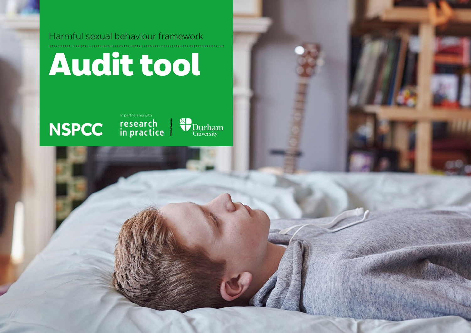





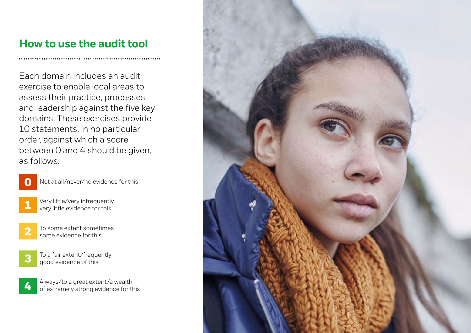## **How to use the audit tool**

Each domain includes an audit exercise to enable local areas to assess their practice, processes and leadership against the five key domains. These exercises provide 10 statements, in no particular order, against which a score between 0 and 4 should be given, as follows:



Not at all/never/no evidence for this

- 1
- Very little/very infrequently very little evidence for this
- 2
- To some extent sometimes some evidence for this



4

To a fair extent/frequently good evidence of this

Always/to a great extent/a wealth of extremely strong evidence for this

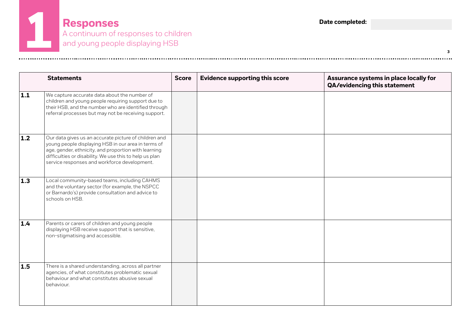**Responses** A continuum of responses to children **1** and young people displaying HSB

**3**

|                  | <b>Statements</b>                                                                                                                                                                                                                                                               | <b>Score</b> | <b>Evidence supporting this score</b> | Assurance systems in place locally for<br>QA/evidencing this statement |
|------------------|---------------------------------------------------------------------------------------------------------------------------------------------------------------------------------------------------------------------------------------------------------------------------------|--------------|---------------------------------------|------------------------------------------------------------------------|
| 1.1              | We capture accurate data about the number of<br>children and young people requiring support due to<br>their HSB, and the number who are identified through<br>referral processes but may not be receiving support.                                                              |              |                                       |                                                                        |
| $\overline{1.2}$ | Our data gives us an accurate picture of children and<br>young people displaying HSB in our area in terms of<br>age, gender, ethnicity, and proportion with learning<br>difficulties or disability. We use this to help us plan<br>service responses and workforce development. |              |                                       |                                                                        |
| $\vert$ 1.3      | Local community-based teams, including CAHMS<br>and the voluntary sector (for example, the NSPCC<br>or Barnardo's) provide consultation and advice to<br>schools on HSB.                                                                                                        |              |                                       |                                                                        |
| 1.4              | Parents or carers of children and young people<br>displaying HSB receive support that is sensitive,<br>non-stigmatising and accessible.                                                                                                                                         |              |                                       |                                                                        |
| $\vert$ 1.5      | There is a shared understanding, across all partner<br>agencies, of what constitutes problematic sexual<br>behaviour and what constitutes abusive sexual<br>behaviour.                                                                                                          |              |                                       |                                                                        |

........................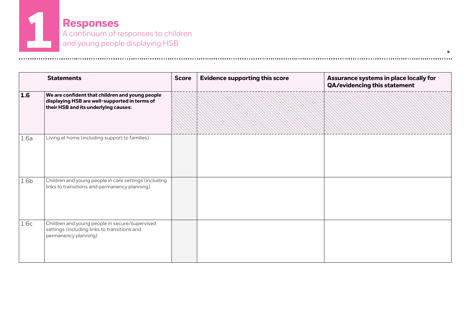**Responses** A continuum of responses to children **1** and young people displaying HSB

|                  | <b>Statements</b>                                                                                                                        | <b>Score</b> | <b>Evidence supporting this score</b> | Assurance systems in place locally for<br>QA/evidencing this statement |
|------------------|------------------------------------------------------------------------------------------------------------------------------------------|--------------|---------------------------------------|------------------------------------------------------------------------|
| 1.6              | We are confident that children and young people<br>displaying HSB are well-supported in terms of<br>their HSB and its underlying causes: |              |                                       |                                                                        |
| 1.6a             | Living at home (including support to families)                                                                                           |              |                                       |                                                                        |
| 1.6 <sub>b</sub> | Children and young people in care settings (including<br>links to transitions and permanency planning)                                   |              |                                       |                                                                        |
| 1.6c             | Children and young people in secure/supervised<br>settings (including links to transitions and<br>permanency planning)                   |              |                                       |                                                                        |

.................................

**4**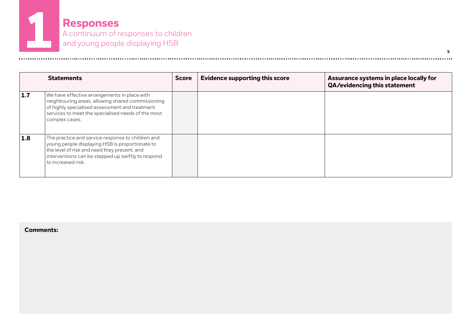**Responses** A continuum of responses to children **1** and young people displaying HSB

|     | <b>Statements</b>                                                                                                                                                                                                                | <b>Score</b> | <b>Evidence supporting this score</b> | Assurance systems in place locally for<br>QA/evidencing this statement |
|-----|----------------------------------------------------------------------------------------------------------------------------------------------------------------------------------------------------------------------------------|--------------|---------------------------------------|------------------------------------------------------------------------|
| 1.7 | We have effective arrangements in place with<br>neighbouring areas, allowing shared commissioning<br>of highly specialised assessment and treatment<br>services to meet the specialised needs of the most<br>complex cases.      |              |                                       |                                                                        |
| 1.8 | The practice and service response to children and<br>young people displaying HSB is proportionate to<br>the level of risk and need they present, and<br>interventions can be stepped up swiftly to respond<br>to increased risk. |              |                                       |                                                                        |

...........................

**5**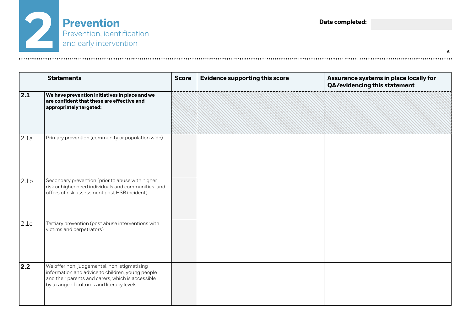

|                  | <b>Statements</b>                                                                                                                                                                                  | <b>Score</b> | <b>Evidence supporting this score</b> | Assurance systems in place locally for<br>QA/evidencing this statement |
|------------------|----------------------------------------------------------------------------------------------------------------------------------------------------------------------------------------------------|--------------|---------------------------------------|------------------------------------------------------------------------|
| 2.1              | We have prevention initiatives in place and we<br>are confident that these are effective and<br>appropriately targeted:                                                                            |              |                                       |                                                                        |
| 2.1a             | Primary prevention (community or population wide)                                                                                                                                                  |              |                                       |                                                                        |
| 2.1 <sub>b</sub> | Secondary prevention (prior to abuse with higher<br>risk or higher need individuals and communities, and<br>offers of risk assessment post HSB incident)                                           |              |                                       |                                                                        |
| 2.1c             | Tertiary prevention (post abuse interventions with<br>victims and perpetrators)                                                                                                                    |              |                                       |                                                                        |
| 2.2              | We offer non-judgemental, non-stigmatising<br>information and advice to children, young people<br>and their parents and carers, which is accessible<br>by a range of cultures and literacy levels. |              |                                       |                                                                        |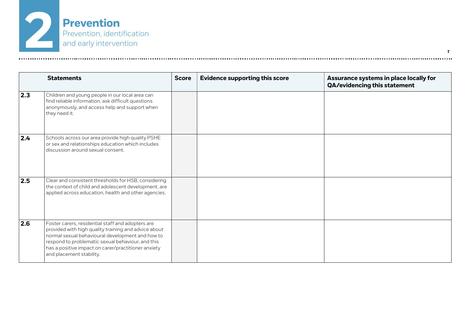

|                  | <b>Statements</b>                                                                                                                                                                                                                                                                                     | <b>Score</b> | <b>Evidence supporting this score</b> | Assurance systems in place locally for<br><b>QA/evidencing this statement</b> |
|------------------|-------------------------------------------------------------------------------------------------------------------------------------------------------------------------------------------------------------------------------------------------------------------------------------------------------|--------------|---------------------------------------|-------------------------------------------------------------------------------|
| $\vert$ 2.3      | Children and young people in our local area can<br>find reliable information, ask difficult questions<br>anonymously, and access help and support when<br>they need it.                                                                                                                               |              |                                       |                                                                               |
| $\overline{2.4}$ | Schools across our area provide high quality PSHE<br>or sex and relationships education which includes<br>discussion around sexual consent.                                                                                                                                                           |              |                                       |                                                                               |
| $\overline{2.5}$ | Clear and consistent thresholds for HSB, considering<br>the context of child and adolescent development, are<br>applied across education, health and other agencies.                                                                                                                                  |              |                                       |                                                                               |
| $\overline{2.6}$ | Foster carers, residential staff and adopters are<br>provided with high quality training and advice about<br>normal sexual behavioural development and how to<br>respond to problematic sexual behaviour, and this<br>has a positive impact on carer/practitioner anxiety<br>and placement stability. |              |                                       |                                                                               |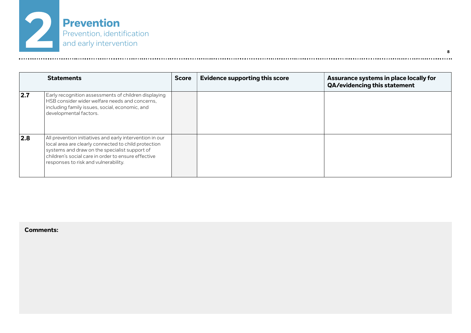

|     | <b>Statements</b>                                                                                                                                                                                                                                                | <b>Score</b> | <b>Evidence supporting this score</b> | Assurance systems in place locally for<br><b>QA/evidencing this statement</b> |
|-----|------------------------------------------------------------------------------------------------------------------------------------------------------------------------------------------------------------------------------------------------------------------|--------------|---------------------------------------|-------------------------------------------------------------------------------|
| 2.7 | Early recognition assessments of children displaying<br>HSB consider wider welfare needs and concerns,<br>including family issues, social, economic, and<br>developmental factors.                                                                               |              |                                       |                                                                               |
| 2.8 | All prevention initiatives and early intervention in our<br>local area are clearly connected to child protection<br>systems and draw on the specialist support of<br>children's social care in order to ensure effective<br>responses to risk and vulnerability. |              |                                       |                                                                               |

**8**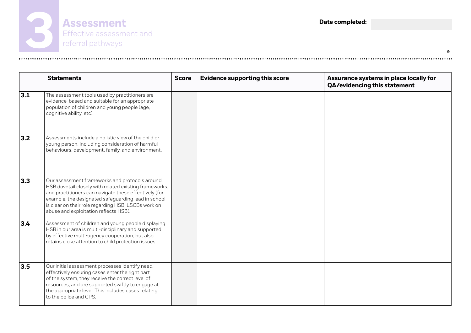

|     | <b>Statements</b>                                                                                                                                                                                                                                                                                                        | <b>Score</b> | <b>Evidence supporting this score</b> | Assurance systems in place locally for<br>QA/evidencing this statement |
|-----|--------------------------------------------------------------------------------------------------------------------------------------------------------------------------------------------------------------------------------------------------------------------------------------------------------------------------|--------------|---------------------------------------|------------------------------------------------------------------------|
| 3.1 | The assessment tools used by practitioners are<br>evidence-based and suitable for an appropriate<br>population of children and young people (age,<br>cognitive ability, etc).                                                                                                                                            |              |                                       |                                                                        |
| 3.2 | Assessments include a holistic view of the child or<br>young person, including consideration of harmful<br>behaviours, development, family, and environment.                                                                                                                                                             |              |                                       |                                                                        |
| 3.3 | Our assessment frameworks and protocols around<br>HSB dovetail closely with related existing frameworks,<br>and practitioners can navigate these effectively (for<br>example, the designated safeguarding lead in school<br>is clear on their role regarding HSB; LSCBs work on<br>abuse and exploitation reflects HSB). |              |                                       |                                                                        |
| 3.4 | Assessment of children and young people displaying<br>HSB in our area is multi-disciplinary and supported<br>by effective multi-agency cooperation, but also<br>retains close attention to child protection issues.                                                                                                      |              |                                       |                                                                        |
| 3.5 | Our initial assessment processes identify need,<br>effectively ensuring cases enter the right part<br>of the system, they receive the correct level of<br>resources, and are supported swiftly to engage at<br>the appropriate level. This includes cases relating<br>to the police and CPS.                             |              |                                       |                                                                        |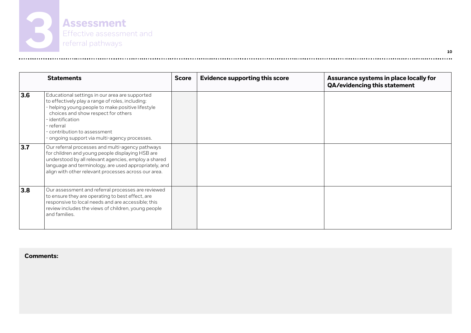

|     | <b>Statements</b>                                                                                                                                                                                                                                                                                                  | <b>Score</b> | <b>Evidence supporting this score</b> | Assurance systems in place locally for<br>QA/evidencing this statement |
|-----|--------------------------------------------------------------------------------------------------------------------------------------------------------------------------------------------------------------------------------------------------------------------------------------------------------------------|--------------|---------------------------------------|------------------------------------------------------------------------|
| 3.6 | Educational settings in our area are supported<br>to effectively play a range of roles, including:<br>- helping young people to make positive lifestyle<br>choices and show respect for others<br>- identification<br>- referral<br>- contribution to assessment.<br>- ongoing support via multi-agency processes. |              |                                       |                                                                        |
| 3.7 | Our referral processes and multi-agency pathways<br>for children and young people displaying HSB are<br>understood by all relevant agencies, employ a shared<br>language and terminology, are used appropriately, and<br>align with other relevant processes across our area.                                      |              |                                       |                                                                        |
| 3.8 | Our assessment and referral processes are reviewed<br>to ensure they are operating to best effect, are<br>responsive to local needs and are accessible; this<br>review includes the views of children, young people<br>and families.                                                                               |              |                                       |                                                                        |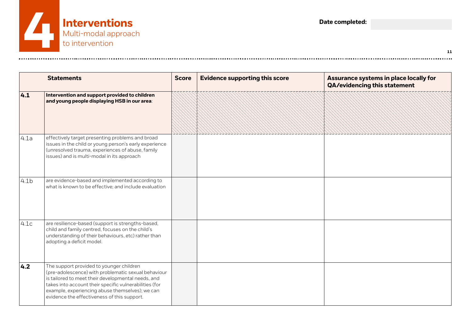

|                  | <b>Statements</b>                                                                                                                                                                                                                                                                                                 | <b>Score</b> | <b>Evidence supporting this score</b> | Assurance systems in place locally for<br>QA/evidencing this statement |
|------------------|-------------------------------------------------------------------------------------------------------------------------------------------------------------------------------------------------------------------------------------------------------------------------------------------------------------------|--------------|---------------------------------------|------------------------------------------------------------------------|
| 4.1              | Intervention and support provided to children<br>and young people displaying HSB in our area:                                                                                                                                                                                                                     |              |                                       |                                                                        |
| 4.1a             | effectively target presenting problems and broad<br>issues in the child or young person's early experience<br>(unresolved trauma, experiences of abuse, family<br>issues) and is multi-modal in its approach                                                                                                      |              |                                       |                                                                        |
| 4.1 <sub>b</sub> | are evidence-based and implemented according to<br>what is known to be effective; and include evaluation                                                                                                                                                                                                          |              |                                       |                                                                        |
| 4.1c             | are resilience-based (support is strengths-based,<br>child and family centred, focuses on the child's<br>understanding of their behaviours, etc) rather than<br>adopting a deficit model.                                                                                                                         |              |                                       |                                                                        |
| 4.2              | The support provided to younger children<br>(pre-adolescence) with problematic sexual behaviour<br>is tailored to meet their developmental needs, and<br>takes into account their specific vulnerabilities (for<br>example, experiencing abuse themselves); we can<br>evidence the effectiveness of this support. |              |                                       |                                                                        |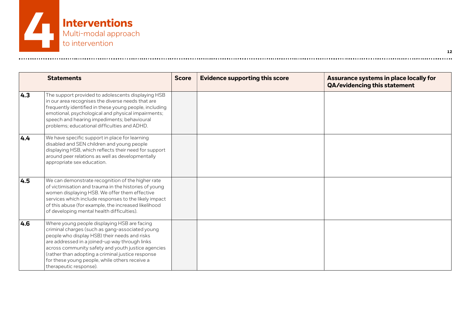

|                   | <b>Statements</b>                                                                                                                                                                                                                                                                                                                                                                         | <b>Score</b> | <b>Evidence supporting this score</b> | Assurance systems in place locally for<br>QA/evidencing this statement |
|-------------------|-------------------------------------------------------------------------------------------------------------------------------------------------------------------------------------------------------------------------------------------------------------------------------------------------------------------------------------------------------------------------------------------|--------------|---------------------------------------|------------------------------------------------------------------------|
| $\vert 4.3 \vert$ | The support provided to adolescents displaying HSB<br>in our area recognises the diverse needs that are<br>frequently identified in these young people, including<br>emotional, psychological and physical impairments;<br>speech and hearing impediments; behavioural<br>problems; educational difficulties and ADHD.                                                                    |              |                                       |                                                                        |
| 4.4               | We have specific support in place for learning<br>disabled and SEN children and young people<br>displaying HSB, which reflects their need for support<br>around peer relations as well as developmentally<br>appropriate sex education.                                                                                                                                                   |              |                                       |                                                                        |
| 4.5               | We can demonstrate recognition of the higher rate<br>of victimisation and trauma in the histories of young<br>women displaying HSB. We offer them effective<br>services which include responses to the likely impact<br>of this abuse (for example, the increased likelihood<br>of developing mental health difficulties).                                                                |              |                                       |                                                                        |
| 4.6               | Where young people displaying HSB are facing<br>criminal charges (such as gang-associated young<br>people who display HSB) their needs and risks<br>are addressed in a joined-up way through links<br>across community safety and youth justice agencies<br>(rather than adopting a criminal justice response<br>for these young people, while others receive a<br>therapeutic response). |              |                                       |                                                                        |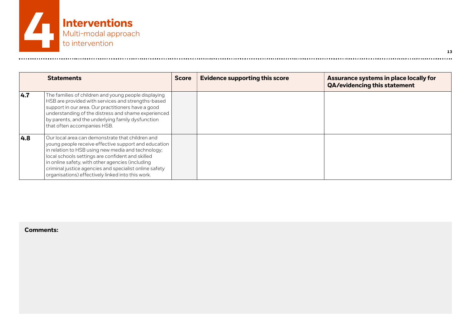

|     | <b>Statements</b>                                                                                                                                                                                                                                                                                                                                                                     | <b>Score</b> | <b>Evidence supporting this score</b> | Assurance systems in place locally for<br>QA/evidencing this statement |
|-----|---------------------------------------------------------------------------------------------------------------------------------------------------------------------------------------------------------------------------------------------------------------------------------------------------------------------------------------------------------------------------------------|--------------|---------------------------------------|------------------------------------------------------------------------|
| 4.7 | The families of children and young people displaying<br>HSB are provided with services and strengths-based<br>support in our area. Our practitioners have a good<br>understanding of the distress and shame experienced<br>by parents, and the underlying family dysfunction<br>that often accompanies HSB.                                                                           |              |                                       |                                                                        |
| 4.8 | Our local area can demonstrate that children and<br>young people receive effective support and education<br>in relation to HSB using new media and technology;<br>local schools settings are confident and skilled<br>in online safety, with other agencies (including<br>criminal justice agencies and specialist online safety<br>organisations) effectively linked into this work. |              |                                       |                                                                        |

**13**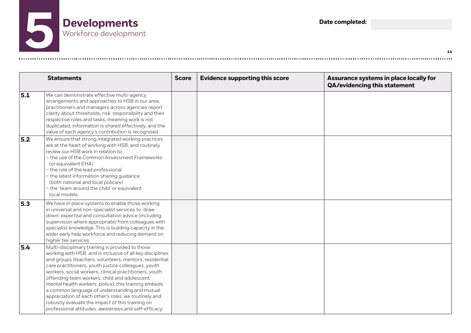

|     | <b>Statements</b>                                                                                                                                                                                                                                                                                                                                                                                                                                                                                                                                                                                                     | <b>Score</b> | <b>Evidence supporting this score</b> | Assurance systems in place locally for<br>QA/evidencing this statement |
|-----|-----------------------------------------------------------------------------------------------------------------------------------------------------------------------------------------------------------------------------------------------------------------------------------------------------------------------------------------------------------------------------------------------------------------------------------------------------------------------------------------------------------------------------------------------------------------------------------------------------------------------|--------------|---------------------------------------|------------------------------------------------------------------------|
| 5.1 | We can demonstrate effective multi-agency<br>arrangements and approaches to HSB in our area;<br>practitioners and managers across agencies report<br>clarity about thresholds, risk, responsibility and their<br>respective roles and tasks, meaning work is not<br>duplicated, information is shared effectively, and the<br>value of each agency's contribution is recognised.                                                                                                                                                                                                                                      |              |                                       |                                                                        |
| 5.2 | We ensure that strong integrated working practices<br>are at the heart of working with HSB, and routinely<br>review our HSB work in relation to:<br>- the use of the Common Assessment Frameworks<br>(or equivalent EHA)<br>- the role of the lead professional<br>- the latest information sharing guidance<br>(both national and local policies)<br>- the 'team around the child' or equivalent<br>local models.                                                                                                                                                                                                    |              |                                       |                                                                        |
| 5.3 | We have in place systems to enable those working<br>in universal and non-specialist services to 'draw<br>down' expertise and consultation advice (including<br>supervision where appropriate) from colleagues with<br>specialist knowledge. This is building capacity in the<br>wider early help workforce and reducing demand on<br>higher tier services.                                                                                                                                                                                                                                                            |              |                                       |                                                                        |
| 5.4 | Multi-disciplinary training is provided to those<br>working with HSB, and is inclusive of all key disciplines<br>and groups (teachers, volunteers, mentors, residential<br>care practitioners, youth justice colleagues, youth<br>workers, social workers, clinical practitioners, youth<br>offending team workers, child and adolescent<br>mental health workers, police); this training embeds<br>a common language of understanding and mutual<br>appreciation of each other's roles; we routinely and<br>robustly evaluate the impact of this training on<br>professional attitudes, awareness and self-efficacy. |              |                                       |                                                                        |